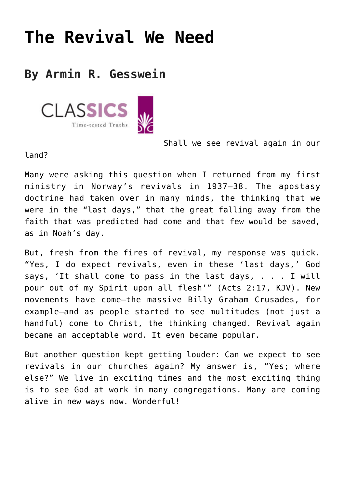## **[The Revival We Need](https://www.prayerleader.com/classics-12/)**

## **By Armin R. Gesswein**



Shall we see revival again in our

land?

Many were asking this question when I returned from my first ministry in Norway's revivals in 1937–38. The apostasy doctrine had taken over in many minds, the thinking that we were in the "last days," that the great falling away from the faith that was predicted had come and that few would be saved, as in Noah's day.

But, fresh from the fires of revival, my response was quick. "Yes, I do expect revivals, even in these 'last days,' God says, 'It shall come to pass in the last days, . . . I will pour out of my Spirit upon all flesh'" (Acts 2:17, KJV). New movements have come—the massive Billy Graham Crusades, for example—and as people started to see multitudes (not just a handful) come to Christ, the thinking changed. Revival again became an acceptable word. It even became popular.

But another question kept getting louder: Can we expect to see revivals in our churches again? My answer is, "Yes; where else?" We live in exciting times and the most exciting thing is to see God at work in many congregations. Many are coming alive in new ways now. Wonderful!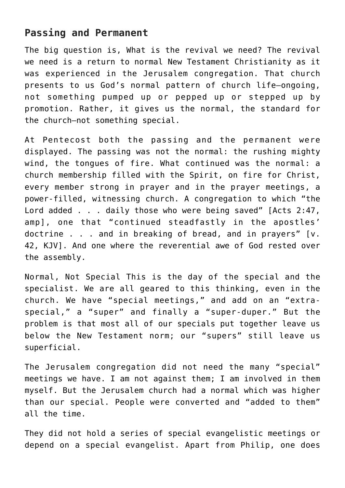## **Passing and Permanent**

The big question is, What is the revival we need? The revival we need is a return to normal New Testament Christianity as it was experienced in the Jerusalem congregation. That church presents to us God's normal pattern of church life—ongoing, not something pumped up or pepped up or stepped up by promotion. Rather, it gives us the normal, the standard for the church—not something special.

At Pentecost both the passing and the permanent were displayed. The passing was not the normal: the rushing mighty wind, the tongues of fire. What continued was the normal: a church membership filled with the Spirit, on fire for Christ, every member strong in prayer and in the prayer meetings, a power-filled, witnessing church. A congregation to which "the Lord added . . . daily those who were being saved" [Acts 2:47, amp], one that "continued steadfastly in the apostles' doctrine . . . and in breaking of bread, and in prayers" [v. 42, KJV]. And one where the reverential awe of God rested over the assembly.

Normal, Not Special This is the day of the special and the specialist. We are all geared to this thinking, even in the church. We have "special meetings," and add on an "extraspecial," a "super" and finally a "super-duper." But the problem is that most all of our specials put together leave us below the New Testament norm; our "supers" still leave us superficial.

The Jerusalem congregation did not need the many "special" meetings we have. I am not against them; I am involved in them myself. But the Jerusalem church had a normal which was higher than our special. People were converted and "added to them" all the time.

They did not hold a series of special evangelistic meetings or depend on a special evangelist. Apart from Philip, one does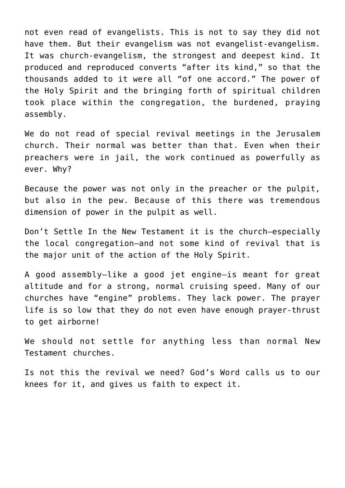not even read of evangelists. This is not to say they did not have them. But their evangelism was not evangelist-evangelism. It was church-evangelism, the strongest and deepest kind. It produced and reproduced converts "after its kind," so that the thousands added to it were all "of one accord." The power of the Holy Spirit and the bringing forth of spiritual children took place within the congregation, the burdened, praying assembly.

We do not read of special revival meetings in the Jerusalem church. Their normal was better than that. Even when their preachers were in jail, the work continued as powerfully as ever. Why?

Because the power was not only in the preacher or the pulpit, but also in the pew. Because of this there was tremendous dimension of power in the pulpit as well.

Don't Settle In the New Testament it is the church—especially the local congregation—and not some kind of revival that is the major unit of the action of the Holy Spirit.

A good assembly—like a good jet engine—is meant for great altitude and for a strong, normal cruising speed. Many of our churches have "engine" problems. They lack power. The prayer life is so low that they do not even have enough prayer-thrust to get airborne!

We should not settle for anything less than normal New Testament churches.

Is not this the revival we need? God's Word calls us to our knees for it, and gives us faith to expect it.